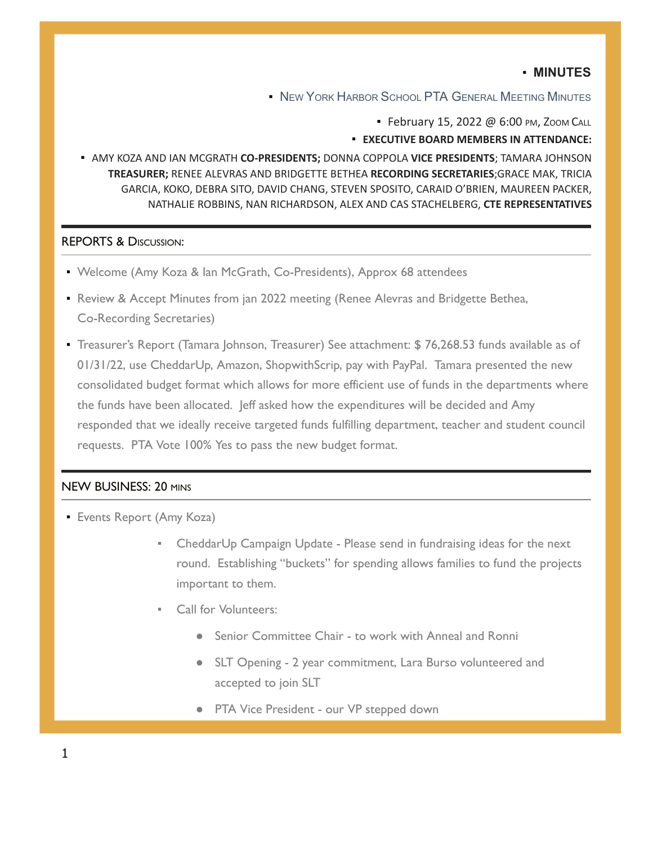## ▪ **MINUTES**

**▪** NEW YORK HARBOR SCHOOL PTA GENERAL MEETING MINUTES

• February 15, 2022 @ 6:00 PM, ZOOM CALL

▪ **EXECUTIVE BOARD MEMBERS IN ATTENDANCE:**

▪ AMY KOZA AND IAN MCGRATH **CO-PRESIDENTS;** DONNA COPPOLA **VICE PRESIDENTS**; TAMARA JOHNSON **TREASURER;** RENEE ALEVRAS AND BRIDGETTE BETHEA **RECORDING SECRETARIES**;GRACE MAK, TRICIA GARCIA, KOKO, DEBRA SITO, DAVID CHANG, STEVEN SPOSITO, CARAID O'BRIEN, MAUREEN PACKER, NATHALIE ROBBINS, NAN RICHARDSON, ALEX AND CAS STACHELBERG, **CTE REPRESENTATIVES**

## REPORTS & DISCUSSION:

- Welcome (Amy Koza & Ian McGrath, Co-Presidents), Approx 68 attendees
- **Review & Accept Minutes from jan 2022 meeting (Renee Alevras and Bridgette Bethea,** Co-Recording Secretaries)
- Treasurer's Report (Tamara Johnson, Treasurer) See attachment: \$ 76,268.53 funds available as of 01/31/22, use CheddarUp, Amazon, ShopwithScrip, pay with PayPal. Tamara presented the new consolidated budget format which allows for more efficient use of funds in the departments where the funds have been allocated. Jeff asked how the expenditures will be decided and Amy responded that we ideally receive targeted funds fulfilling department, teacher and student council requests. PTA Vote 100% Yes to pass the new budget format.

## NEW BUSINESS: 20 MINS

- **Events Report (Amy Koza)** 
	- CheddarUp Campaign Update Please send in fundraising ideas for the next round. Establishing "buckets" for spending allows families to fund the projects important to them.
	- Call for Volunteers:
		- Senior Committee Chair to work with Anneal and Ronni
		- SLT Opening 2 year commitment, Lara Burso volunteered and accepted to join SLT
		- PTA Vice President our VP stepped down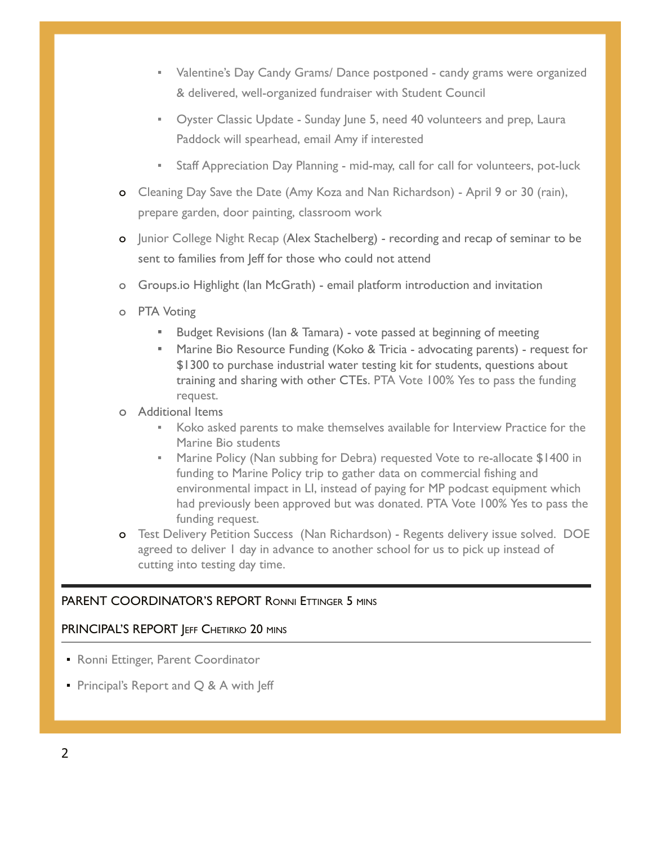- Valentine's Day Candy Grams/ Dance postponed candy grams were organized & delivered, well-organized fundraiser with Student Council
- **•** Oyster Classic Update Sunday June 5, need 40 volunteers and prep, Laura Paddock will spearhead, email Amy if interested
- Staff Appreciation Day Planning mid-may, call for call for volunteers, pot-luck
- o Cleaning Day Save the Date (Amy Koza and Nan Richardson) April 9 or 30 (rain), prepare garden, door painting, classroom work
- o Junior College Night Recap (Alex Stachelberg) recording and recap of seminar to be sent to families from Jeff for those who could not attend
- o Groups.io Highlight (Ian McGrath) email platform introduction and invitation
- o PTA Voting
	- Budget Revisions (Ian & Tamara) vote passed at beginning of meeting
	- **Marine Bio Resource Funding (Koko & Tricia advocating parents) request for** \$1300 to purchase industrial water testing kit for students, questions about training and sharing with other CTEs. PTA Vote 100% Yes to pass the funding request.
- o Additional Items
	- Koko asked parents to make themselves available for Interview Practice for the Marine Bio students
	- **Marine Policy (Nan subbing for Debra) requested Vote to re-allocate \$1400 in** funding to Marine Policy trip to gather data on commercial fishing and environmental impact in LI, instead of paying for MP podcast equipment which had previously been approved but was donated. PTA Vote 100% Yes to pass the funding request.
- o Test Delivery Petition Success (Nan Richardson) Regents delivery issue solved. DOE agreed to deliver I day in advance to another school for us to pick up instead of cutting into testing day time.

# PARENT COORDINATOR'S REPORT RONNI ETTINGER 5 MINS

## PRINCIPAL'S REPORT JEFF CHETIRKO 20 MINS

- **Ronni Ettinger, Parent Coordinator**
- **Principal's Report and**  $Q$  **& A with Jeff**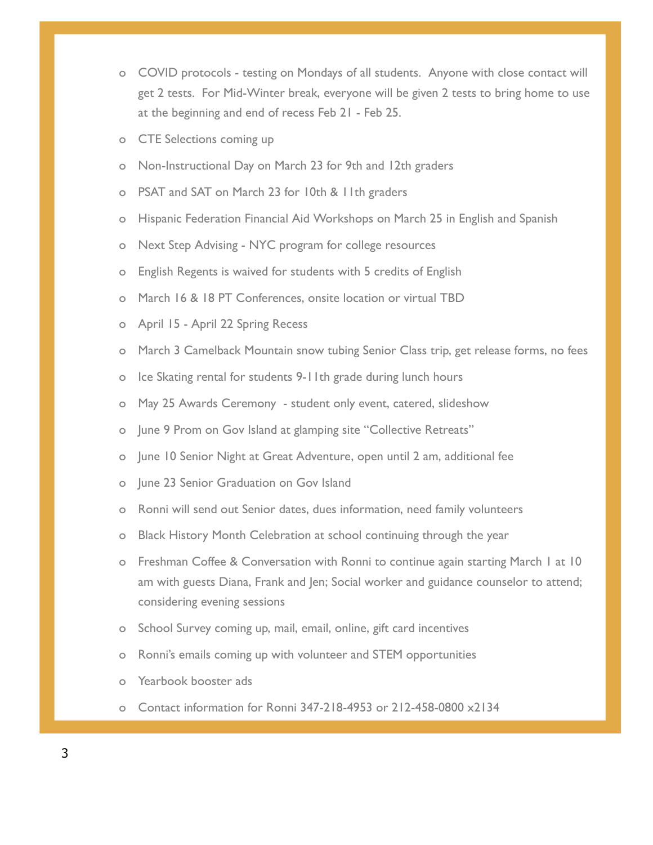- o COVID protocols testing on Mondays of all students. Anyone with close contact will get 2 tests. For Mid-Winter break, everyone will be given 2 tests to bring home to use at the beginning and end of recess Feb 21 - Feb 25.
- o CTE Selections coming up
- o Non-Instructional Day on March 23 for 9th and 12th graders
- o PSAT and SAT on March 23 for 10th & 11th graders
- o Hispanic Federation Financial Aid Workshops on March 25 in English and Spanish
- o Next Step Advising NYC program for college resources
- o English Regents is waived for students with 5 credits of English
- o March 16 & 18 PT Conferences, onsite location or virtual TBD
- o April 15 April 22 Spring Recess
- o March 3 Camelback Mountain snow tubing Senior Class trip, get release forms, no fees
- o Ice Skating rental for students 9-11th grade during lunch hours
- o May 25 Awards Ceremony student only event, catered, slideshow
- o June 9 Prom on Gov Island at glamping site "Collective Retreats"
- o June 10 Senior Night at Great Adventure, open until 2 am, additional fee
- o June 23 Senior Graduation on Gov Island
- o Ronni will send out Senior dates, dues information, need family volunteers
- o Black History Month Celebration at school continuing through the year
- o Freshman Coffee & Conversation with Ronni to continue again starting March 1 at 10 am with guests Diana, Frank and Jen; Social worker and guidance counselor to attend; considering evening sessions
- o School Survey coming up, mail, email, online, gift card incentives
- o Ronni's emails coming up with volunteer and STEM opportunities
- Yearbook booster ads
- o Contact information for Ronni 347-218-4953 or 212-458-0800 x2134